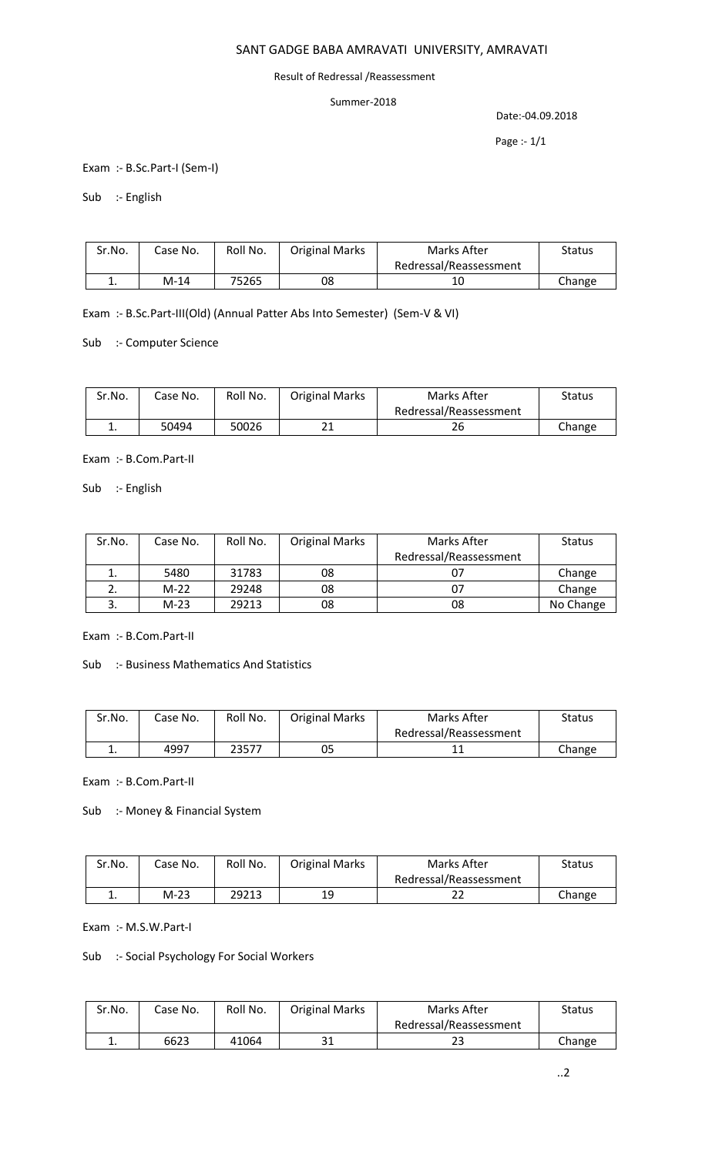## SANT GADGE BABA AMRAVATI UNIVERSITY, AMRAVATI

#### Result of Redressal /Reassessment

#### Summer-2018

Date:-04.09.2018

Page :- 1/1

Exam :- B.Sc.Part-I (Sem-I)

Sub :- English

| Sr.No. | Case No. | Roll No. | <b>Original Marks</b> | Marks After            | <b>Status</b> |
|--------|----------|----------|-----------------------|------------------------|---------------|
|        |          |          |                       | Redressal/Reassessment |               |
| . .    | M-14     | 75265    | 08                    | 10                     | Change        |

Exam :- B.Sc.Part-III(Old) (Annual Patter Abs Into Semester) (Sem-V & VI)

Sub :- Computer Science

| Sr.No.   | Case No. | Roll No. | <b>Original Marks</b> | Marks After            | Status |
|----------|----------|----------|-----------------------|------------------------|--------|
|          |          |          |                       | Redressal/Reassessment |        |
| <b>.</b> | 50494    | 50026    | ำ1<br>ᅀᅩ              | 26                     | Change |

Exam :- B.Com.Part-II

Sub :- English

| Sr.No. | Case No. | Roll No. | <b>Original Marks</b> | Marks After            | <b>Status</b> |
|--------|----------|----------|-----------------------|------------------------|---------------|
|        |          |          |                       | Redressal/Reassessment |               |
|        | 5480     | 31783    | 08                    | 07                     | Change        |
|        | $M-22$   | 29248    | 08                    | 07                     | Change        |
|        | $M-23$   | 29213    | 08                    | 08                     | No Change     |

Exam :- B.Com.Part-II

Sub :- Business Mathematics And Statistics

| Sr.No.   | Case No. | Roll No. | <b>Original Marks</b> | Marks After            | <b>Status</b> |
|----------|----------|----------|-----------------------|------------------------|---------------|
|          |          |          |                       | Redressal/Reassessment |               |
| <b>.</b> | 4997     | 23577    | 05                    |                        | Change        |

Exam :- B.Com.Part-II

Sub :- Money & Financial System

| Sr.No. | Case No. | Roll No. | <b>Original Marks</b> | Marks After            | Status |
|--------|----------|----------|-----------------------|------------------------|--------|
|        |          |          |                       | Redressal/Reassessment |        |
| . .    | M-23     | 29213    | 19                    | ے                      | Change |

Exam :- M.S.W.Part-I

Sub :- Social Psychology For Social Workers

| Sr.No. | Case No. | Roll No. | <b>Original Marks</b> | Marks After            | Status |
|--------|----------|----------|-----------------------|------------------------|--------|
|        |          |          |                       | Redressal/Reassessment |        |
|        | 6623     | 41064    | า 1                   | ر ے                    | Change |